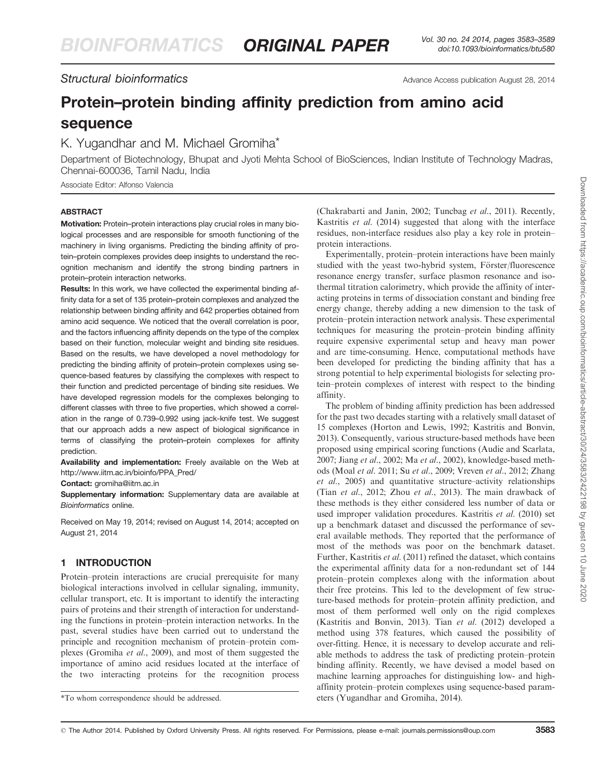# Structural bioinformatics Advance Access publication August 28, 2014

# Protein–protein binding affinity prediction from amino acid sequence

# K. Yugandhar and M. Michael Gromiha\*

Department of Biotechnology, Bhupat and Jyoti Mehta School of BioSciences, Indian Institute of Technology Madras, Chennai-600036, Tamil Nadu, India

Associate Editor: Alfonso Valencia

## ABSTRACT

Motivation: Protein–protein interactions play crucial roles in many biological processes and are responsible for smooth functioning of the machinery in living organisms. Predicting the binding affinity of protein–protein complexes provides deep insights to understand the recognition mechanism and identify the strong binding partners in protein–protein interaction networks.

Results: In this work, we have collected the experimental binding affinity data for a set of 135 protein–protein complexes and analyzed the relationship between binding affinity and 642 properties obtained from amino acid sequence. We noticed that the overall correlation is poor, and the factors influencing affinity depends on the type of the complex based on their function, molecular weight and binding site residues. Based on the results, we have developed a novel methodology for predicting the binding affinity of protein–protein complexes using sequence-based features by classifying the complexes with respect to their function and predicted percentage of binding site residues. We have developed regression models for the complexes belonging to different classes with three to five properties, which showed a correlation in the range of 0.739–0.992 using jack-knife test. We suggest that our approach adds a new aspect of biological significance in terms of classifying the protein–protein complexes for affinity prediction.

Availability and implementation: Freely available on the Web at [http://www.iitm.ac.in/bioinfo/PPA\\_Pred/](http://www.iitm.ac.in/bioinfo/PPA_Pred/)

#### Contact: [gromiha@iitm.ac.in](mailto:gromiha@iitm.ac.in)

Supplementary information: [Supplementary data](http://bioinformatics.oxfordjournals.org/lookup/suppl/doi:10.1093/bioinformatics/btu580/-/DC1) are available at Bioinformatics online.

Received on May 19, 2014; revised on August 14, 2014; accepted on August 21, 2014

## 1 INTRODUCTION

Protein–protein interactions are crucial prerequisite for many biological interactions involved in cellular signaling, immunity, cellular transport, etc. It is important to identify the interacting pairs of proteins and their strength of interaction for understanding the functions in protein–protein interaction networks. In the past, several studies have been carried out to understand the principle and recognition mechanism of protein–protein complexes ([Gromiha](#page-6-0) et al., 2009), and most of them suggested the importance of amino acid residues located at the interface of the two interacting proteins for the recognition process ([Chakrabarti and Janin, 2002](#page-6-0); [Tuncbag](#page-6-0) et al., 2011). Recently, [Kastritis](#page-6-0) et al. (2014) suggested that along with the interface residues, non-interface residues also play a key role in protein– protein interactions.

Experimentally, protein–protein interactions have been mainly studied with the yeast two-hybrid system, Förster/fluorescence resonance energy transfer, surface plasmon resonance and isothermal titration calorimetry, which provide the affinity of interacting proteins in terms of dissociation constant and binding free energy change, thereby adding a new dimension to the task of protein–protein interaction network analysis. These experimental techniques for measuring the protein–protein binding affinity require expensive experimental setup and heavy man power and are time-consuming. Hence, computational methods have been developed for predicting the binding affinity that has a strong potential to help experimental biologists for selecting protein–protein complexes of interest with respect to the binding affinity.

The problem of binding affinity prediction has been addressed for the past two decades starting with a relatively small dataset of 15 complexes [\(Horton and Lewis, 1992](#page-6-0); [Kastritis and Bonvin,](#page-6-0) [2013](#page-6-0)). Consequently, various structure-based methods have been proposed using empirical scoring functions [\(Audie and Scarlata,](#page-6-0) [2007](#page-6-0); Jiang et al[., 2002;](#page-6-0) Ma et al[., 2002\)](#page-6-0), knowledge-based methods (Moal et al[. 2011;](#page-6-0) Su et al[., 2009; Vreven](#page-6-0) et al., 2012; [Zhang](#page-6-0) et al[., 2005](#page-6-0)) and quantitative structure–activity relationships (Tian et al[., 2012;](#page-6-0) Zhou et al[., 2013](#page-6-0)). The main drawback of these methods is they either considered less number of data or used improper validation procedures. [Kastritis](#page-6-0) et al. (2010) set up a benchmark dataset and discussed the performance of several available methods. They reported that the performance of most of the methods was poor on the benchmark dataset. Further, [Kastritis](#page-6-0) et al. (2011) refined the dataset, which contains the experimental affinity data for a non-redundant set of 144 protein–protein complexes along with the information about their free proteins. This led to the development of few structure-based methods for protein–protein affinity prediction, and most of them performed well only on the rigid complexes ([Kastritis and Bonvin, 2013](#page-6-0)). Tian et al[. \(2012\)](#page-6-0) developed a method using 378 features, which caused the possibility of over-fitting. Hence, it is necessary to develop accurate and reliable methods to address the task of predicting protein–protein binding affinity. Recently, we have devised a model based on machine learning approaches for distinguishing low- and highaffinity protein–protein complexes using sequence-based param- \*To whom correspondence should be addressed. eters [\(Yugandhar and Gromiha, 2014\)](#page-6-0).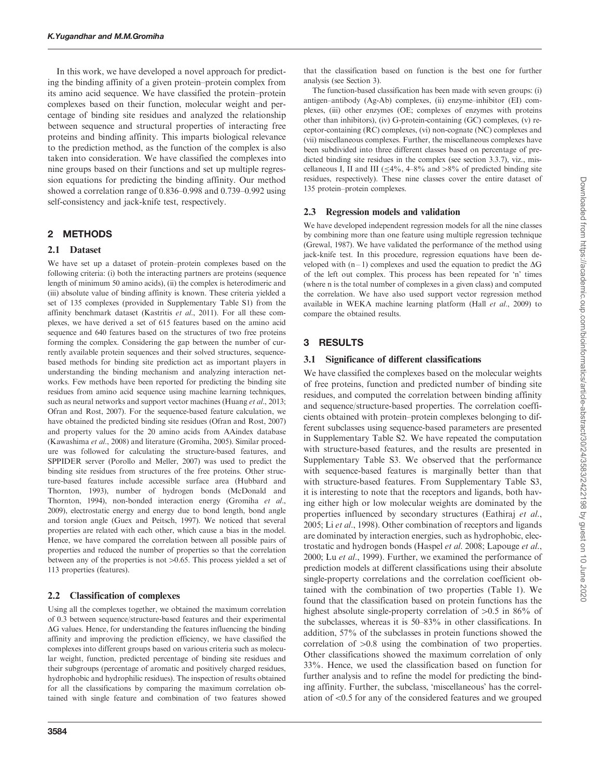In this work, we have developed a novel approach for predicting the binding affinity of a given protein–protein complex from its amino acid sequence. We have classified the protein–protein complexes based on their function, molecular weight and percentage of binding site residues and analyzed the relationship between sequence and structural properties of interacting free proteins and binding affinity. This imparts biological relevance to the prediction method, as the function of the complex is also taken into consideration. We have classified the complexes into nine groups based on their functions and set up multiple regression equations for predicting the binding affinity. Our method showed a correlation range of 0.836–0.998 and 0.739–0.992 using self-consistency and jack-knife test, respectively.

#### 2 METHODS

#### 2.1 Dataset

We have set up a dataset of protein–protein complexes based on the following criteria: (i) both the interacting partners are proteins (sequence length of minimum 50 amino acids), (ii) the complex is heterodimeric and (iii) absolute value of binding affinity is known. These criteria yielded a set of 135 complexes (provided in [Supplementary Table S1](http://bioinformatics.oxfordjournals.org/lookup/suppl/doi:10.1093/bioinformatics/btu580/-/DC1)) from the affinity benchmark dataset [\(Kastritis](#page-6-0) et al., 2011). For all these complexes, we have derived a set of 615 features based on the amino acid sequence and 640 features based on the structures of two free proteins forming the complex. Considering the gap between the number of currently available protein sequences and their solved structures, sequencebased methods for binding site prediction act as important players in understanding the binding mechanism and analyzing interaction networks. Few methods have been reported for predicting the binding site residues from amino acid sequence using machine learning techniques, such as neural networks and support vector machines [\(Huang](#page-6-0) et al., 2013; [Ofran and Rost, 2007](#page-6-0)). For the sequence-based feature calculation, we have obtained the predicted binding site residues [\(Ofran and Rost, 2007\)](#page-6-0) and property values for the 20 amino acids from AAindex database [\(Kawashima](#page-6-0) et al., 2008) and literature [\(Gromiha, 2005\)](#page-6-0). Similar procedure was followed for calculating the structure-based features, and SPPIDER server ([Porollo and Meller, 2007\)](#page-6-0) was used to predict the binding site residues from structures of the free proteins. Other structure-based features include accessible surface area [\(Hubbard and](#page-6-0) [Thornton, 1993\)](#page-6-0), number of hydrogen bonds [\(McDonald and](#page-6-0) [Thornton, 1994\)](#page-6-0), non-bonded interaction energy [\(Gromiha](#page-6-0) et al., [2009\)](#page-6-0), electrostatic energy and energy due to bond length, bond angle and torsion angle [\(Guex and Peitsch, 1997](#page-6-0)). We noticed that several properties are related with each other, which cause a bias in the model. Hence, we have compared the correlation between all possible pairs of properties and reduced the number of properties so that the correlation between any of the properties is not  $>0.65$ . This process yielded a set of 113 properties (features).

#### 2.2 Classification of complexes

Using all the complexes together, we obtained the maximum correlation of 0.3 between sequence/structure-based features and their experimental  $\Delta G$  values. Hence, for understanding the features influencing the binding affinity and improving the prediction efficiency, we have classified the complexes into different groups based on various criteria such as molecular weight, function, predicted percentage of binding site residues and their subgroups (percentage of aromatic and positively charged residues, hydrophobic and hydrophilic residues). The inspection of results obtained for all the classifications by comparing the maximum correlation obtained with single feature and combination of two features showed that the classification based on function is the best one for further analysis (see Section 3).

The function-based classification has been made with seven groups: (i) antigen–antibody (Ag-Ab) complexes, (ii) enzyme–inhibitor (EI) complexes, (iii) other enzymes (OE; complexes of enzymes with proteins other than inhibitors), (iv) G-protein-containing (GC) complexes, (v) receptor-containing (RC) complexes, (vi) non-cognate (NC) complexes and (vii) miscellaneous complexes. Further, the miscellaneous complexes have been subdivided into three different classes based on percentage of predicted binding site residues in the complex (see section 3.3.7), viz., miscellaneous I, II and III ( $\leq$ 4%, 4–8% and >8% of predicted binding site residues, respectively). These nine classes cover the entire dataset of 135 protein–protein complexes.

#### 2.3 Regression models and validation

We have developed independent regression models for all the nine classes by combining more than one feature using multiple regression technique [\(Grewal, 1987](#page-6-0)). We have validated the performance of the method using jack-knife test. In this procedure, regression equations have been developed with  $(n-1)$  complexes and used the equation to predict the  $\Delta G$ of the left out complex. This process has been repeated for 'n' times (where n is the total number of complexes in a given class) and computed the correlation. We have also used support vector regression method available in WEKA machine learning platform (Hall et al[., 2009](#page-6-0)) to compare the obtained results.

# 3 RESULTS

#### 3.1 Significance of different classifications

We have classified the complexes based on the molecular weights of free proteins, function and predicted number of binding site residues, and computed the correlation between binding affinity and sequence/structure-based properties. The correlation coefficients obtained with protein–protein complexes belonging to different subclasses using sequence-based parameters are presented in [Supplementary Table S2.](http://bioinformatics.oxfordjournals.org/lookup/suppl/doi:10.1093/bioinformatics/btu580/-/DC1) We have repeated the computation with structure-based features, and the results are presented in [Supplementary Table S3.](http://bioinformatics.oxfordjournals.org/lookup/suppl/doi:10.1093/bioinformatics/btu580/-/DC1) We observed that the performance with sequence-based features is marginally better than that with structure-based features. From [Supplementary Table S3](http://bioinformatics.oxfordjournals.org/lookup/suppl/doi:10.1093/bioinformatics/btu580/-/DC1), it is interesting to note that the receptors and ligands, both having either high or low molecular weights are dominated by the properties influenced by secondary structures [\(Eathiraj](#page-6-0) et al., [2005;](#page-6-0) Li et al[., 1998\)](#page-6-0). Other combination of receptors and ligands are dominated by interaction energies, such as hydrophobic, electrostatic and hydrogen bonds ([Haspel](#page-6-0) et al. 2008; [Lapouge](#page-6-0) et al., [2000;](#page-6-0) Lu et al[., 1999](#page-6-0)). Further, we examined the performance of prediction models at different classifications using their absolute single-property correlations and the correlation coefficient obtained with the combination of two properties ([Table 1](#page-2-0)). We found that the classification based on protein functions has the highest absolute single-property correlation of  $>0.5$  in 86% of the subclasses, whereas it is 50–83% in other classifications. In addition, 57% of the subclasses in protein functions showed the correlation of  $>0.8$  using the combination of two properties. Other classifications showed the maximum correlation of only 33%. Hence, we used the classification based on function for further analysis and to refine the model for predicting the binding affinity. Further, the subclass, 'miscellaneous' has the correlation of  $<$ 0.5 for any of the considered features and we grouped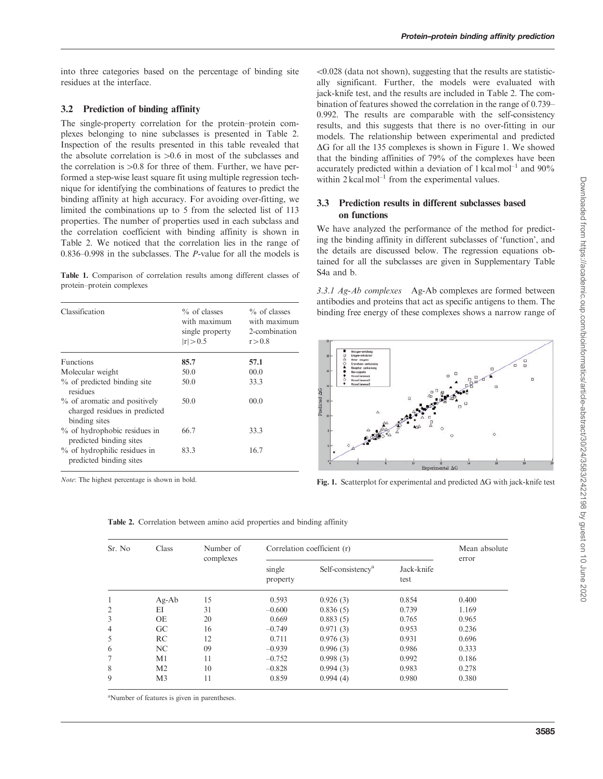<span id="page-2-0"></span>into three categories based on the percentage of binding site residues at the interface.

# 3.2 Prediction of binding affinity

The single-property correlation for the protein–protein complexes belonging to nine subclasses is presented in Table 2. Inspection of the results presented in this table revealed that the absolute correlation is  $>0.6$  in most of the subclasses and the correlation is  $>0.8$  for three of them. Further, we have performed a step-wise least square fit using multiple regression technique for identifying the combinations of features to predict the binding affinity at high accuracy. For avoiding over-fitting, we limited the combinations up to 5 from the selected list of 113 properties. The number of properties used in each subclass and the correlation coefficient with binding affinity is shown in Table 2. We noticed that the correlation lies in the range of 0.836–0.998 in the subclasses. The P-value for all the models is

Table 1. Comparison of correlation results among different classes of protein–protein complexes

| Classification                                                                 | $\%$ of classes<br>with maximum<br>single property | $\%$ of classes<br>with maximum<br>2-combination |  |
|--------------------------------------------------------------------------------|----------------------------------------------------|--------------------------------------------------|--|
|                                                                                | r  > 0.5                                           | r > 0.8                                          |  |
| <b>Functions</b>                                                               | 85.7                                               | 57.1                                             |  |
| Molecular weight                                                               | 50.0                                               | 00.0                                             |  |
| $\%$ of predicted binding site<br>residues                                     | 50.0                                               | 33.3                                             |  |
| % of aromatic and positively<br>charged residues in predicted<br>binding sites | 50.0                                               | 00.0                                             |  |
| % of hydrophobic residues in<br>predicted binding sites                        | 66.7                                               | 33.3                                             |  |
| % of hydrophilic residues in<br>predicted binding sites                        | 83.3                                               | 16.7                                             |  |

 $< 0.028$  (data not shown), suggesting that the results are statistically significant. Further, the models were evaluated with jack-knife test, and the results are included in Table 2. The combination of features showed the correlation in the range of 0.739– 0.992. The results are comparable with the self-consistency results, and this suggests that there is no over-fitting in our models. The relationship between experimental and predicted  $\Delta G$  for all the 135 complexes is shown in Figure 1. We showed that the binding affinities of 79% of the complexes have been accurately predicted within a deviation of 1 kcal mol<sup>-1</sup> and  $90\%$ within 2 kcal mol<sup>-1</sup> from the experimental values.

# 3.3 Prediction results in different subclasses based on functions

We have analyzed the performance of the method for predicting the binding affinity in different subclasses of 'function', and the details are discussed below. The regression equations obtained for all the subclasses are given in [Supplementary Table](http://bioinformatics.oxfordjournals.org/lookup/suppl/doi:10.1093/bioinformatics/btu580/-/DC1) [S4a](http://bioinformatics.oxfordjournals.org/lookup/suppl/doi:10.1093/bioinformatics/btu580/-/DC1) and [b](http://bioinformatics.oxfordjournals.org/lookup/suppl/doi:10.1093/bioinformatics/btu580/-/DC1).

3.3.1 Ag-Ab complexes Ag-Ab complexes are formed between antibodies and proteins that act as specific antigens to them. The binding free energy of these complexes shows a narrow range of



Note: The highest percentage is shown in bold. Fig. 1. Scatterplot for experimental and predicted  $\Delta G$  with jack-knife test

| I<br>J                      |
|-----------------------------|
| ¢<br>$\frac{1}{2}$          |
| j                           |
| 5                           |
| Í                           |
| İ<br>١                      |
| S                           |
| ;                           |
|                             |
| j                           |
| j<br>l                      |
| į                           |
| 5<br>ï                      |
| i                           |
| ١                           |
| ś<br>j                      |
| Ś<br>ž<br>j                 |
| $\ddot{\cdot}$<br>j         |
|                             |
| $\frac{1}{2}$<br>١          |
| ١<br>j                      |
| 5                           |
| ミ<br>J                      |
| <br> <br> <br> <br>١        |
|                             |
|                             |
| į<br><br>í                  |
|                             |
| I<br>١                      |
| j                           |
| j                           |
| i<br>ì                      |
| ١                           |
| ומחומות מומות מיות          |
| į                           |
| ì<br>5                      |
| 1<br>)                      |
| I<br>j                      |
| j                           |
| j                           |
|                             |
|                             |
| Š                           |
|                             |
| ١                           |
|                             |
|                             |
| $\frac{1}{2}$<br>j<br>١     |
| Š                           |
| j                           |
| ١                           |
| I                           |
| j                           |
| j                           |
|                             |
|                             |
|                             |
| 1                           |
|                             |
|                             |
|                             |
|                             |
| J                           |
|                             |
|                             |
|                             |
| š                           |
| $\frac{1}{2}$               |
| <b>UNDEX SUPE ZUZU</b><br>Š |
|                             |

Table 2. Correlation between amino acid properties and binding affinity

| Sr. No         | Class          | Number of<br>complexes | Correlation coefficient (r) |                               |                    | Mean absolute<br>error |
|----------------|----------------|------------------------|-----------------------------|-------------------------------|--------------------|------------------------|
|                |                |                        | single<br>property          | Self-consistency <sup>a</sup> | Jack-knife<br>test |                        |
| 1              | $Ag-Ab$        | 15                     | 0.593                       | 0.926(3)                      | 0.854              | 0.400                  |
| 2              | ΕI             | 31                     | $-0.600$                    | 0.836(5)                      | 0.739              | 1.169                  |
| 3              | <b>OE</b>      | 20                     | 0.669                       | 0.883(5)                      | 0.765              | 0.965                  |
| $\overline{4}$ | GC             | 16                     | $-0.749$                    | 0.971(3)                      | 0.953              | 0.236                  |
| 5              | <b>RC</b>      | 12                     | 0.711                       | 0.976(3)                      | 0.931              | 0.696                  |
| 6              | NC.            | 09                     | $-0.939$                    | 0.996(3)                      | 0.986              | 0.333                  |
| 7              | M1             | 11                     | $-0.752$                    | 0.998(3)                      | 0.992              | 0.186                  |
| 8              | M <sub>2</sub> | 10                     | $-0.828$                    | 0.994(3)                      | 0.983              | 0.278                  |
| 9              | M <sub>3</sub> | 11                     | 0.859                       | 0.994(4)                      | 0.980              | 0.380                  |

<sup>a</sup>Number of features is given in parentheses.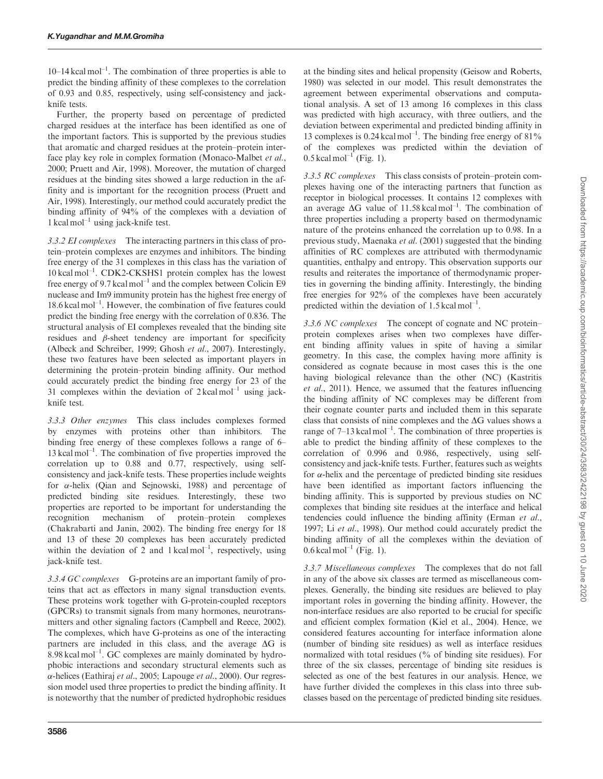$10-14$  kcal mol<sup>-1</sup>. The combination of three properties is able to predict the binding affinity of these complexes to the correlation of 0.93 and 0.85, respectively, using self-consistency and jackknife tests.

Further, the property based on percentage of predicted charged residues at the interface has been identified as one of the important factors. This is supported by the previous studies that aromatic and charged residues at the protein–protein inter-face play key role in complex formation [\(Monaco-Malbet](#page-6-0) et al., [2000; Pruett and Air, 1998\)](#page-6-0). Moreover, the mutation of charged residues at the binding sites showed a large reduction in the affinity and is important for the recognition process ([Pruett and](#page-6-0) [Air, 1998](#page-6-0)). Interestingly, our method could accurately predict the binding affinity of 94% of the complexes with a deviation of 1 kcal mol<sup>-1</sup> using jack-knife test.

3.3.2 EI complexes The interacting partners in this class of protein–protein complexes are enzymes and inhibitors. The binding free energy of the 31 complexes in this class has the variation of 10 kcal mol–1. CDK2-CKSHS1 protein complex has the lowest free energy of 9.7 kcal mol<sup>-1</sup> and the complex between Colicin E9 nuclease and Im9 immunity protein has the highest free energy of 18.6 kcal mol–1. However, the combination of five features could predict the binding free energy with the correlation of 0.836. The structural analysis of EI complexes revealed that the binding site residues and  $\beta$ -sheet tendency are important for specificity [\(Albeck and Schreiber, 1999; Ghosh](#page-6-0) et al., 2007). Interestingly, these two features have been selected as important players in determining the protein–protein binding affinity. Our method could accurately predict the binding free energy for 23 of the 31 complexes within the deviation of  $2 \text{ kcal mol}^{-1}$  using jackknife test.

3.3.3 Other enzymes This class includes complexes formed by enzymes with proteins other than inhibitors. The binding free energy of these complexes follows a range of 6–  $13 \text{ kcal mol}^{-1}$ . The combination of five properties improved the correlation up to 0.88 and 0.77, respectively, using selfconsistency and jack-knife tests. These properties include weights for  $\alpha$ -helix [\(Qian and Sejnowski, 1988\)](#page-6-0) and percentage of predicted binding site residues. Interestingly, these two properties are reported to be important for understanding the recognition mechanism of protein–protein complexes [\(Chakrabarti and Janin, 2002](#page-6-0)). The binding free energy for 18 and 13 of these 20 complexes has been accurately predicted within the deviation of 2 and  $1 \text{ kcal mol}^{-1}$ , respectively, using jack-knife test.

3.3.4 GC complexes G-proteins are an important family of proteins that act as effectors in many signal transduction events. These proteins work together with G-protein-coupled receptors (GPCRs) to transmit signals from many hormones, neurotransmitters and other signaling factors [\(Campbell and Reece, 2002](#page-6-0)). The complexes, which have G-proteins as one of the interacting partners are included in this class, and the average  $\Delta G$  is  $8.98$  kcal mol<sup>-1</sup>. GC complexes are mainly dominated by hydrophobic interactions and secondary structural elements such as  $\alpha$ -helices [\(Eathiraj](#page-6-0) et al., 2005; [Lapouge](#page-6-0) et al., 2000). Our regression model used three properties to predict the binding affinity. It is noteworthy that the number of predicted hydrophobic residues

at the binding sites and helical propensity ([Geisow and Roberts,](#page-6-0) [1980\)](#page-6-0) was selected in our model. This result demonstrates the agreement between experimental observations and computational analysis. A set of 13 among 16 complexes in this class was predicted with high accuracy, with three outliers, and the deviation between experimental and predicted binding affinity in 13 complexes is  $0.24$  kcal mol<sup>-1</sup>. The binding free energy of  $81\%$ of the complexes was predicted within the deviation of  $0.5$  kcal mol<sup>-1</sup> ([Fig. 1](#page-2-0)).

3.3.5 RC complexes This class consists of protein–protein complexes having one of the interacting partners that function as receptor in biological processes. It contains 12 complexes with an average  $\Delta G$  value of 11.58 kcal mol<sup>-1</sup>. The combination of three properties including a property based on thermodynamic nature of the proteins enhanced the correlation up to 0.98. In a previous study, [Maenaka](#page-6-0) et al. (2001) suggested that the binding affinities of RC complexes are attributed with thermodynamic quantities, enthalpy and entropy. This observation supports our results and reiterates the importance of thermodynamic properties in governing the binding affinity. Interestingly, the binding free energies for 92% of the complexes have been accurately predicted within the deviation of  $1.5$  kcal mol<sup>-1</sup>.

3.3.6 NC complexes The concept of cognate and NC protein– protein complexes arises when two complexes have different binding affinity values in spite of having a similar geometry. In this case, the complex having more affinity is considered as cognate because in most cases this is the one having biological relevance than the other (NC) [\(Kastritis](#page-6-0) et al[., 2011](#page-6-0)). Hence, we assumed that the features influencing the binding affinity of NC complexes may be different from their cognate counter parts and included them in this separate class that consists of nine complexes and the  $\Delta G$  values shows a range of  $7-13$  kcal mol<sup>-1</sup>. The combination of three properties is able to predict the binding affinity of these complexes to the correlation of 0.996 and 0.986, respectively, using selfconsistency and jack-knife tests. Further, features such as weights for  $\alpha$ -helix and the percentage of predicted binding site residues have been identified as important factors influencing the binding affinity. This is supported by previous studies on NC complexes that binding site residues at the interface and helical tendencies could influence the binding affinity ([Erman](#page-6-0) et al., [1997;](#page-6-0) Li et al[., 1998](#page-6-0)). Our method could accurately predict the binding affinity of all the complexes within the deviation of  $0.6$  kcal mol<sup>-1</sup> ([Fig. 1](#page-2-0)).

3.3.7 Miscellaneous complexes The complexes that do not fall in any of the above six classes are termed as miscellaneous complexes. Generally, the binding site residues are believed to play important roles in governing the binding affinity. However, the non-interface residues are also reported to be crucial for specific and efficient complex formation [\(Kiel et al., 2004\)](#page-6-0). Hence, we considered features accounting for interface information alone (number of binding site residues) as well as interface residues normalized with total residues (% of binding site residues). For three of the six classes, percentage of binding site residues is selected as one of the best features in our analysis. Hence, we have further divided the complexes in this class into three subclasses based on the percentage of predicted binding site residues.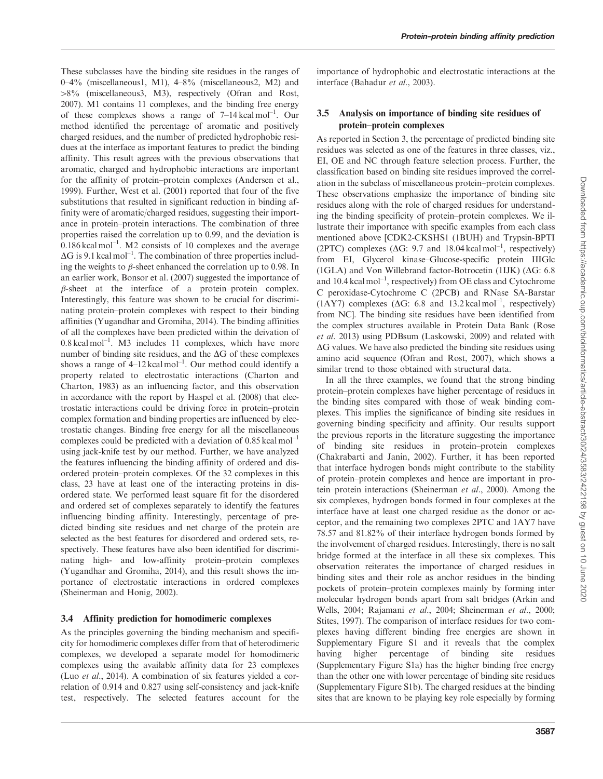These subclasses have the binding site residues in the ranges of 0–4% (miscellaneous1, M1), 4–8% (miscellaneous2, M2) and  $>8\%$  (miscellaneous). M<sub>3</sub>), respectively ([Ofran and Rost,](#page-6-0) [2007](#page-6-0)). M1 contains 11 complexes, and the binding free energy of these complexes shows a range of  $7-14 \text{ kcal mol}^{-1}$ . Our method identified the percentage of aromatic and positively charged residues, and the number of predicted hydrophobic residues at the interface as important features to predict the binding affinity. This result agrees with the previous observations that aromatic, charged and hydrophobic interactions are important for the affinity of protein–protein complexes [\(Andersen et al.,](#page-6-0) [1999](#page-6-0)). Further, [West et al. \(2001\)](#page-6-0) reported that four of the five substitutions that resulted in significant reduction in binding affinity were of aromatic/charged residues, suggesting their importance in protein–protein interactions. The combination of three properties raised the correlation up to 0.99, and the deviation is  $0.186$  kcal mol<sup>-1</sup>. M2 consists of 10 complexes and the average  $\Delta G$  is 9.1 kcal mol<sup>-1</sup>. The combination of three properties including the weights to  $\beta$ -sheet enhanced the correlation up to 0.98. In an earlier work, [Bonsor et al. \(2007\)](#page-6-0) suggested the importance of  $\beta$ -sheet at the interface of a protein–protein complex. Interestingly, this feature was shown to be crucial for discriminating protein–protein complexes with respect to their binding affinities [\(Yugandhar and Gromiha, 2014\)](#page-6-0). The binding affinities of all the complexes have been predicted within the deivation of  $0.8$  kcal mol<sup>-1</sup>. M3 includes 11 complexes, which have more number of binding site residues, and the  $\Delta G$  of these complexes shows a range of  $4-12$  kcal mol<sup>-1</sup>. Our method could identify a property related to electrostatic interactions ([Charton and](#page-6-0) [Charton, 1983](#page-6-0)) as an influencing factor, and this observation in accordance with the report by [Haspel et al. \(2008\)](#page-6-0) that electrostatic interactions could be driving force in protein–protein complex formation and binding properties are influenced by electrostatic changes. Binding free energy for all the miscellaneous complexes could be predicted with a deviation of  $0.85$  kcal mol<sup>-1</sup> using jack-knife test by our method. Further, we have analyzed the features influencing the binding affinity of ordered and disordered protein–protein complexes. Of the 32 complexes in this class, 23 have at least one of the interacting proteins in disordered state. We performed least square fit for the disordered and ordered set of complexes separately to identify the features influencing binding affinity. Interestingly, percentage of predicted binding site residues and net charge of the protein are selected as the best features for disordered and ordered sets, respectively. These features have also been identified for discriminating high- and low-affinity protein–protein complexes ([Yugandhar and Gromiha, 2014](#page-6-0)), and this result shows the importance of electrostatic interactions in ordered complexes ([Sheinerman and Honig, 2002\)](#page-6-0).

## 3.4 Affinity prediction for homodimeric complexes

As the principles governing the binding mechanism and specificity for homodimeric complexes differ from that of heterodimeric complexes, we developed a separate model for homodimeric complexes using the available affinity data for 23 complexes (Luo et al[., 2014\)](#page-6-0). A combination of six features yielded a correlation of 0.914 and 0.827 using self-consistency and jack-knife test, respectively. The selected features account for the

importance of hydrophobic and electrostatic interactions at the interface ([Bahadur](#page-6-0) et al., 2003).

# 3.5 Analysis on importance of binding site residues of protein–protein complexes

As reported in Section 3, the percentage of predicted binding site residues was selected as one of the features in three classes, viz., EI, OE and NC through feature selection process. Further, the classification based on binding site residues improved the correlation in the subclass of miscellaneous protein–protein complexes. These observations emphasize the importance of binding site residues along with the role of charged residues for understanding the binding specificity of protein–protein complexes. We illustrate their importance with specific examples from each class mentioned above [CDK2-CKSHS1 (1BUH) and Trypsin-BPTI (2PTC) complexes ( $\Delta G$ : 9.7 and 18.04 kcal mol<sup>-1</sup>, respectively) from EI, Glycerol kinase–Glucose-specific protein IIIGlc (1GLA) and Von Willebrand factor-Botrocetin (1IJK)  $( \Delta G; 6.8)$ and  $10.4 \text{ kcal mol}^{-1}$ , respectively) from OE class and Cytochrome C peroxidase-Cytochrome C (2PCB) and RNase SA-Barstar (1AY7) complexes ( $\Delta G$ : 6.8 and 13.2 kcal mol<sup>-1</sup>, respectively) from NC]. The binding site residues have been identified from the complex structures available in Protein Data Bank [\(Rose](#page-6-0) et al[. 2013\)](#page-6-0) using PDBsum [\(Laskowski, 2009\)](#page-6-0) and related with  $\Delta G$  values. We have also predicted the binding site residues using amino acid sequence ([Ofran and Rost, 2007\)](#page-6-0), which shows a similar trend to those obtained with structural data.

In all the three examples, we found that the strong binding protein–protein complexes have higher percentage of residues in the binding sites compared with those of weak binding complexes. This implies the significance of binding site residues in governing binding specificity and affinity. Our results support the previous reports in the literature suggesting the importance of binding site residues in protein–protein complexes ([Chakrabarti and Janin, 2002](#page-6-0)). Further, it has been reported that interface hydrogen bonds might contribute to the stability of protein–protein complexes and hence are important in protein–protein interactions ([Sheinerman](#page-6-0) et al., 2000). Among the six complexes, hydrogen bonds formed in four complexes at the interface have at least one charged residue as the donor or acceptor, and the remaining two complexes 2PTC and 1AY7 have 78.57 and 81.82% of their interface hydrogen bonds formed by the involvement of charged residues. Interestingly, there is no salt bridge formed at the interface in all these six complexes. This observation reiterates the importance of charged residues in binding sites and their role as anchor residues in the binding pockets of protein–protein complexes mainly by forming inter molecular hydrogen bonds apart from salt bridges ([Arkin and](#page-6-0) [Wells, 2004](#page-6-0); [Rajamani](#page-6-0) et al., 2004; [Sheinerman](#page-6-0) et al., 2000; [Stites, 1997\)](#page-6-0). The comparison of interface residues for two complexes having different binding free energies are shown in [Supplementary Figure S1](http://bioinformatics.oxfordjournals.org/lookup/suppl/doi:10.1093/bioinformatics/btu580/-/DC1) and it reveals that the complex having higher percentage of binding site residues ([Supplementary Figure S1a](http://bioinformatics.oxfordjournals.org/lookup/suppl/doi:10.1093/bioinformatics/btu580/-/DC1)) has the higher binding free energy than the other one with lower percentage of binding site residues ([Supplementary Figure S1b](http://bioinformatics.oxfordjournals.org/lookup/suppl/doi:10.1093/bioinformatics/btu580/-/DC1)). The charged residues at the binding sites that are known to be playing key role especially by forming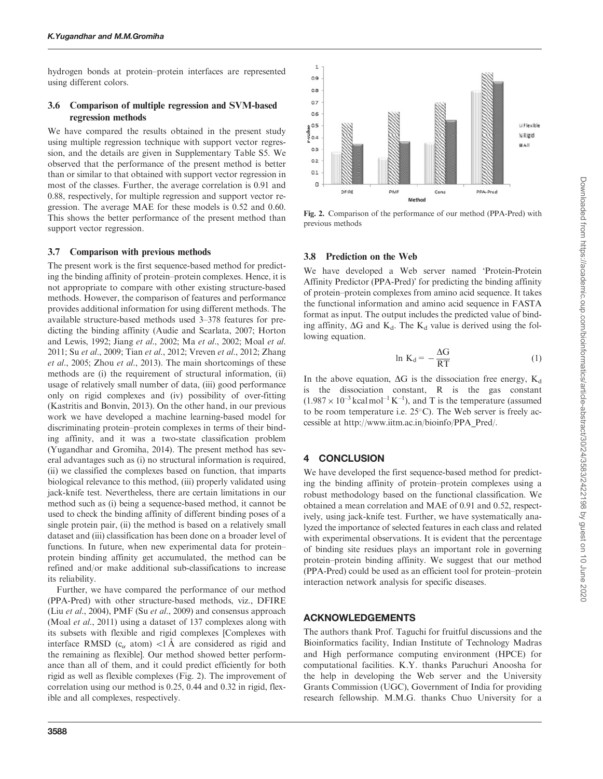hydrogen bonds at protein–protein interfaces are represented using different colors.

# 3.6 Comparison of multiple regression and SVM-based regression methods

We have compared the results obtained in the present study using multiple regression technique with support vector regression, and the details are given in [Supplementary Table S5](http://bioinformatics.oxfordjournals.org/lookup/suppl/doi:10.1093/bioinformatics/btu580/-/DC1). We observed that the performance of the present method is better than or similar to that obtained with support vector regression in most of the classes. Further, the average correlation is 0.91 and 0.88, respectively, for multiple regression and support vector regression. The average MAE for these models is 0.52 and 0.60. This shows the better performance of the present method than support vector regression.

#### 3.7 Comparison with previous methods

The present work is the first sequence-based method for predicting the binding affinity of protein–protein complexes. Hence, it is not appropriate to compare with other existing structure-based methods. However, the comparison of features and performance provides additional information for using different methods. The available structure-based methods used 3–378 features for predicting the binding affinity [\(Audie and Scarlata, 2007](#page-6-0); [Horton](#page-6-0) [and Lewis, 1992](#page-6-0); Jiang et al[., 2002;](#page-6-0) Ma et al[., 2002; Moal](#page-6-0) et al. [2011;](#page-6-0) Su et al[., 2009;](#page-6-0) Tian et al[., 2012; Vreven](#page-6-0) et al., 2012; [Zhang](#page-6-0) et al[., 2005;](#page-6-0) Zhou et al[., 2013](#page-6-0)). The main shortcomings of these methods are (i) the requirement of structural information, (ii) usage of relatively small number of data, (iii) good performance only on rigid complexes and (iv) possibility of over-fitting [\(Kastritis and Bonvin, 2013\)](#page-6-0). On the other hand, in our previous work we have developed a machine learning-based model for discriminating protein–protein complexes in terms of their binding affinity, and it was a two-state classification problem [\(Yugandhar and Gromiha, 2014\)](#page-6-0). The present method has several advantages such as (i) no structural information is required, (ii) we classified the complexes based on function, that imparts biological relevance to this method, (iii) properly validated using jack-knife test. Nevertheless, there are certain limitations in our method such as (i) being a sequence-based method, it cannot be used to check the binding affinity of different binding poses of a single protein pair, (ii) the method is based on a relatively small dataset and (iii) classification has been done on a broader level of functions. In future, when new experimental data for protein– protein binding affinity get accumulated, the method can be refined and/or make additional sub-classifications to increase its reliability.

Further, we have compared the performance of our method (PPA-Pred) with other structure-based methods, viz., DFIRE (Liu et al[., 2004](#page-6-0)), PMF (Su et al[., 2009](#page-6-0)) and consensus approach (Moal et al[., 2011](#page-6-0)) using a dataset of 137 complexes along with its subsets with flexible and rigid complexes [Complexes with interface RMSD ( $c_{\alpha}$  atom) <1 Å are considered as rigid and the remaining as flexible]. Our method showed better performance than all of them, and it could predict efficiently for both rigid as well as flexible complexes (Fig. 2). The improvement of correlation using our method is 0.25, 0.44 and 0.32 in rigid, flexible and all complexes, respectively.



Fig. 2. Comparison of the performance of our method (PPA-Pred) with previous methods

## 3.8 Prediction on the Web

We have developed a Web server named 'Protein-Protein Affinity Predictor (PPA-Pred)' for predicting the binding affinity of protein–protein complexes from amino acid sequence. It takes the functional information and amino acid sequence in FASTA format as input. The output includes the predicted value of binding affinity,  $\Delta G$  and  $K_d$ . The  $K_d$  value is derived using the following equation.

$$
\ln K_d = -\frac{\Delta G}{RT} \tag{1}
$$

In the above equation,  $\Delta G$  is the dissociation free energy,  $K_d$ is the dissociation constant, R is the gas constant  $(1.987 \times 10^{-3} \text{ kcal mol}^{-1} \text{K}^{-1})$ , and T is the temperature (assumed to be room temperature i.e.  $25^{\circ}$ C). The Web server is freely accessible at [http://www.iitm.ac.in/bioinfo/PPA\\_Pred/](http://www.iitm.ac.in/bioinfo/PPA_Pred/).

# 4 CONCLUSION

We have developed the first sequence-based method for predicting the binding affinity of protein–protein complexes using a robust methodology based on the functional classification. We obtained a mean correlation and MAE of 0.91 and 0.52, respectively, using jack-knife test. Further, we have systematically analyzed the importance of selected features in each class and related with experimental observations. It is evident that the percentage of binding site residues plays an important role in governing protein–protein binding affinity. We suggest that our method (PPA-Pred) could be used as an efficient tool for protein–protein interaction network analysis for specific diseases.

## ACKNOWLEDGEMENTS

The authors thank Prof. Taguchi for fruitful discussions and the Bioinformatics facility, Indian Institute of Technology Madras and High performance computing environment (HPCE) for computational facilities. K.Y. thanks Paruchuri Anoosha for the help in developing the Web server and the University Grants Commission (UGC), Government of India for providing research fellowship. M.M.G. thanks Chuo University for a